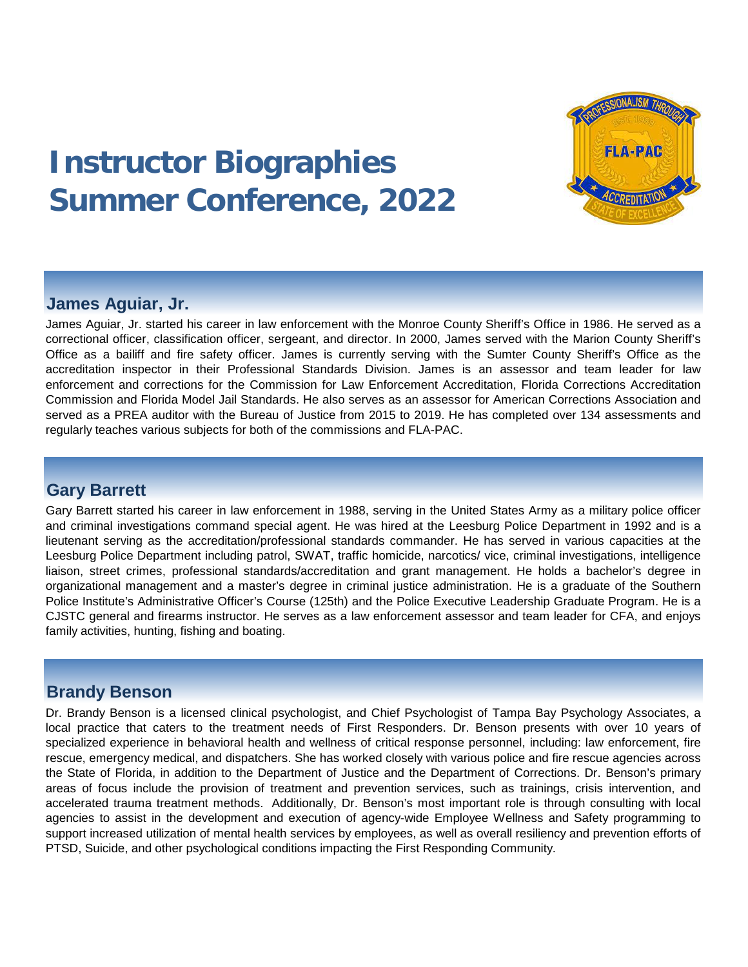

# **Instructor Biographies Summer Conference, 2022**

# **James Aguiar, Jr.**

James Aguiar, Jr. started his career in law enforcement with the Monroe County Sheriff's Office in 1986. He served as a correctional officer, classification officer, sergeant, and director. In 2000, James served with the Marion County Sheriff's Office as a bailiff and fire safety officer. James is currently serving with the Sumter County Sheriff's Office as the accreditation inspector in their Professional Standards Division. James is an assessor and team leader for law enforcement and corrections for the Commission for Law Enforcement Accreditation, Florida Corrections Accreditation Commission and Florida Model Jail Standards. He also serves as an assessor for American Corrections Association and served as a PREA auditor with the Bureau of Justice from 2015 to 2019. He has completed over 134 assessments and regularly teaches various subjects for both of the commissions and FLA-PAC.

## **Gary Barrett**

Gary Barrett started his career in law enforcement in 1988, serving in the United States Army as a military police officer and criminal investigations command special agent. He was hired at the Leesburg Police Department in 1992 and is a lieutenant serving as the accreditation/professional standards commander. He has served in various capacities at the Leesburg Police Department including patrol, SWAT, traffic homicide, narcotics/ vice, criminal investigations, intelligence liaison, street crimes, professional standards/accreditation and grant management. He holds a bachelor's degree in organizational management and a master's degree in criminal justice administration. He is a graduate of the Southern Police Institute's Administrative Officer's Course (125th) and the Police Executive Leadership Graduate Program. He is a CJSTC general and firearms instructor. He serves as a law enforcement assessor and team leader for CFA, and enjoys family activities, hunting, fishing and boating.

## **Brandy Benson**

Dr. Brandy Benson is a licensed clinical psychologist, and Chief Psychologist of Tampa Bay Psychology Associates, a local practice that caters to the treatment needs of First Responders. Dr. Benson presents with over 10 years of specialized experience in behavioral health and wellness of critical response personnel, including: law enforcement, fire rescue, emergency medical, and dispatchers. She has worked closely with various police and fire rescue agencies across the State of Florida, in addition to the Department of Justice and the Department of Corrections. Dr. Benson's primary areas of focus include the provision of treatment and prevention services, such as trainings, crisis intervention, and accelerated trauma treatment methods. Additionally, Dr. Benson's most important role is through consulting with local agencies to assist in the development and execution of agency-wide Employee Wellness and Safety programming to support increased utilization of mental health services by employees, as well as overall resiliency and prevention efforts of PTSD, Suicide, and other psychological conditions impacting the First Responding Community.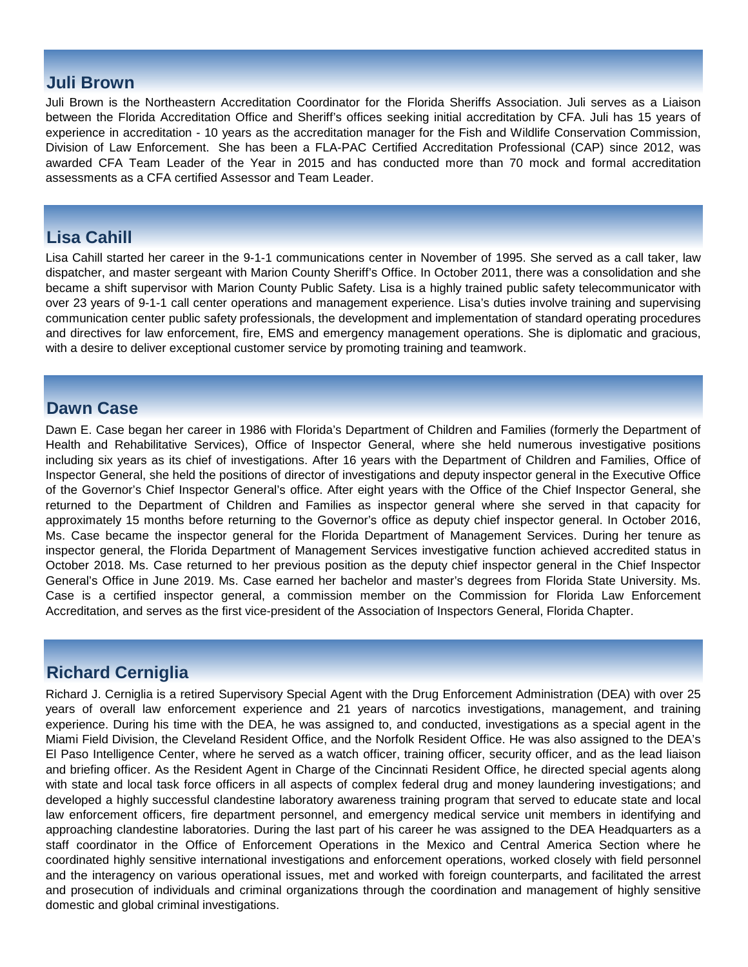## **Juli Brown**

Juli Brown is the Northeastern Accreditation Coordinator for the Florida Sheriffs Association. Juli serves as a Liaison between the Florida Accreditation Office and Sheriff's offices seeking initial accreditation by CFA. Juli has 15 years of experience in accreditation - 10 years as the accreditation manager for the Fish and Wildlife Conservation Commission, Division of Law Enforcement. She has been a FLA-PAC Certified Accreditation Professional (CAP) since 2012, was awarded CFA Team Leader of the Year in 2015 and has conducted more than 70 mock and formal accreditation assessments as a CFA certified Assessor and Team Leader.

# **Lisa Cahill**

Lisa Cahill started her career in the 9-1-1 communications center in November of 1995. She served as a call taker, law dispatcher, and master sergeant with Marion County Sheriff's Office. In October 2011, there was a consolidation and she became a shift supervisor with Marion County Public Safety. Lisa is a highly trained public safety telecommunicator with over 23 years of 9-1-1 call center operations and management experience. Lisa's duties involve training and supervising communication center public safety professionals, the development and implementation of standard operating procedures and directives for law enforcement, fire, EMS and emergency management operations. She is diplomatic and gracious, with a desire to deliver exceptional customer service by promoting training and teamwork.

## **Dawn Case**

Dawn E. Case began her career in 1986 with Florida's Department of Children and Families (formerly the Department of Health and Rehabilitative Services), Office of Inspector General, where she held numerous investigative positions including six years as its chief of investigations. After 16 years with the Department of Children and Families, Office of Inspector General, she held the positions of director of investigations and deputy inspector general in the Executive Office of the Governor's Chief Inspector General's office. After eight years with the Office of the Chief Inspector General, she returned to the Department of Children and Families as inspector general where she served in that capacity for approximately 15 months before returning to the Governor's office as deputy chief inspector general. In October 2016, Ms. Case became the inspector general for the Florida Department of Management Services. During her tenure as inspector general, the Florida Department of Management Services investigative function achieved accredited status in October 2018. Ms. Case returned to her previous position as the deputy chief inspector general in the Chief Inspector General's Office in June 2019. Ms. Case earned her bachelor and master's degrees from Florida State University. Ms. Case is a certified inspector general, a commission member on the Commission for Florida Law Enforcement Accreditation, and serves as the first vice-president of the Association of Inspectors General, Florida Chapter.

# **Richard Cerniglia**

Richard J. Cerniglia is a retired Supervisory Special Agent with the Drug Enforcement Administration (DEA) with over 25 years of overall law enforcement experience and 21 years of narcotics investigations, management, and training experience. During his time with the DEA, he was assigned to, and conducted, investigations as a special agent in the Miami Field Division, the Cleveland Resident Office, and the Norfolk Resident Office. He was also assigned to the DEA's El Paso Intelligence Center, where he served as a watch officer, training officer, security officer, and as the lead liaison and briefing officer. As the Resident Agent in Charge of the Cincinnati Resident Office, he directed special agents along with state and local task force officers in all aspects of complex federal drug and money laundering investigations; and developed a highly successful clandestine laboratory awareness training program that served to educate state and local law enforcement officers, fire department personnel, and emergency medical service unit members in identifying and approaching clandestine laboratories. During the last part of his career he was assigned to the DEA Headquarters as a staff coordinator in the Office of Enforcement Operations in the Mexico and Central America Section where he coordinated highly sensitive international investigations and enforcement operations, worked closely with field personnel and the interagency on various operational issues, met and worked with foreign counterparts, and facilitated the arrest and prosecution of individuals and criminal organizations through the coordination and management of highly sensitive domestic and global criminal investigations.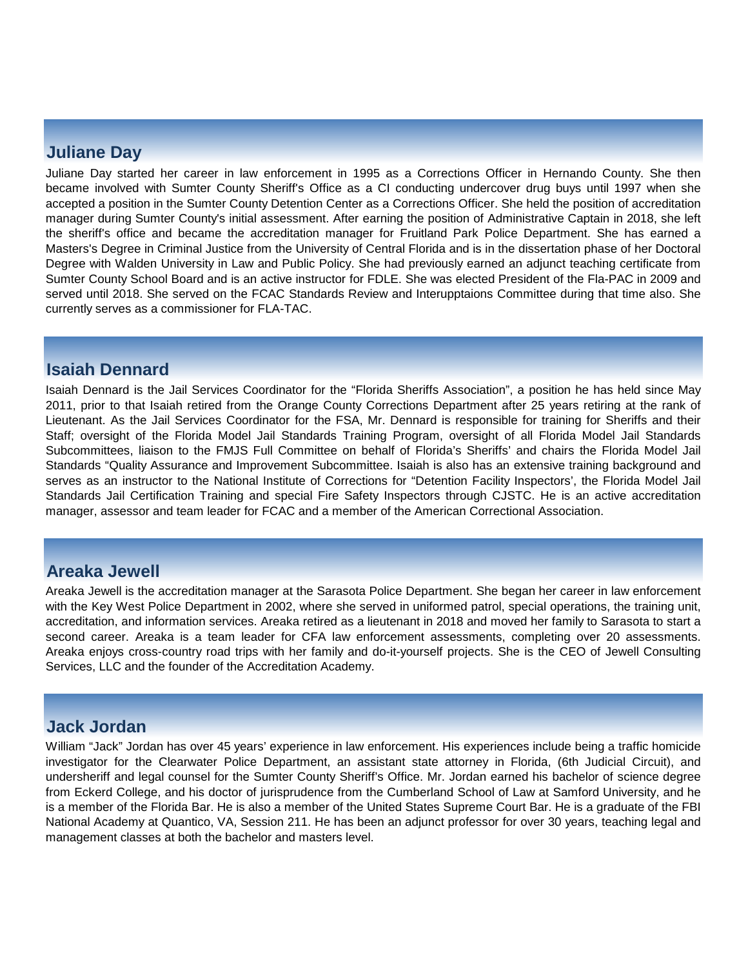## **Juliane Day**

Juliane Day started her career in law enforcement in 1995 as a Corrections Officer in Hernando County. She then became involved with Sumter County Sheriff's Office as a CI conducting undercover drug buys until 1997 when she accepted a position in the Sumter County Detention Center as a Corrections Officer. She held the position of accreditation manager during Sumter County's initial assessment. After earning the position of Administrative Captain in 2018, she left the sheriff's office and became the accreditation manager for Fruitland Park Police Department. She has earned a Masters's Degree in Criminal Justice from the University of Central Florida and is in the dissertation phase of her Doctoral Degree with Walden University in Law and Public Policy. She had previously earned an adjunct teaching certificate from Sumter County School Board and is an active instructor for FDLE. She was elected President of the Fla-PAC in 2009 and served until 2018. She served on the FCAC Standards Review and Interupptaions Committee during that time also. She currently serves as a commissioner for FLA-TAC.

## **Isaiah Dennard**

Isaiah Dennard is the Jail Services Coordinator for the "Florida Sheriffs Association", a position he has held since May 2011, prior to that Isaiah retired from the Orange County Corrections Department after 25 years retiring at the rank of Lieutenant. As the Jail Services Coordinator for the FSA, Mr. Dennard is responsible for training for Sheriffs and their Staff; oversight of the Florida Model Jail Standards Training Program, oversight of all Florida Model Jail Standards Subcommittees, liaison to the FMJS Full Committee on behalf of Florida's Sheriffs' and chairs the Florida Model Jail Standards "Quality Assurance and Improvement Subcommittee. Isaiah is also has an extensive training background and serves as an instructor to the National Institute of Corrections for "Detention Facility Inspectors', the Florida Model Jail Standards Jail Certification Training and special Fire Safety Inspectors through CJSTC. He is an active accreditation manager, assessor and team leader for FCAC and a member of the American Correctional Association.

## **Areaka Jewell**

Areaka Jewell is the accreditation manager at the Sarasota Police Department. She began her career in law enforcement with the Key West Police Department in 2002, where she served in uniformed patrol, special operations, the training unit, accreditation, and information services. Areaka retired as a lieutenant in 2018 and moved her family to Sarasota to start a second career. Areaka is a team leader for CFA law enforcement assessments, completing over 20 assessments. Areaka enjoys cross-country road trips with her family and do-it-yourself projects. She is the CEO of Jewell Consulting Services, LLC and the founder of the Accreditation Academy.

## **Jack Jordan**

William "Jack" Jordan has over 45 years' experience in law enforcement. His experiences include being a traffic homicide investigator for the Clearwater Police Department, an assistant state attorney in Florida, (6th Judicial Circuit), and undersheriff and legal counsel for the Sumter County Sheriff's Office. Mr. Jordan earned his bachelor of science degree from Eckerd College, and his doctor of jurisprudence from the Cumberland School of Law at Samford University, and he is a member of the Florida Bar. He is also a member of the United States Supreme Court Bar. He is a graduate of the FBI National Academy at Quantico, VA, Session 211. He has been an adjunct professor for over 30 years, teaching legal and management classes at both the bachelor and masters level.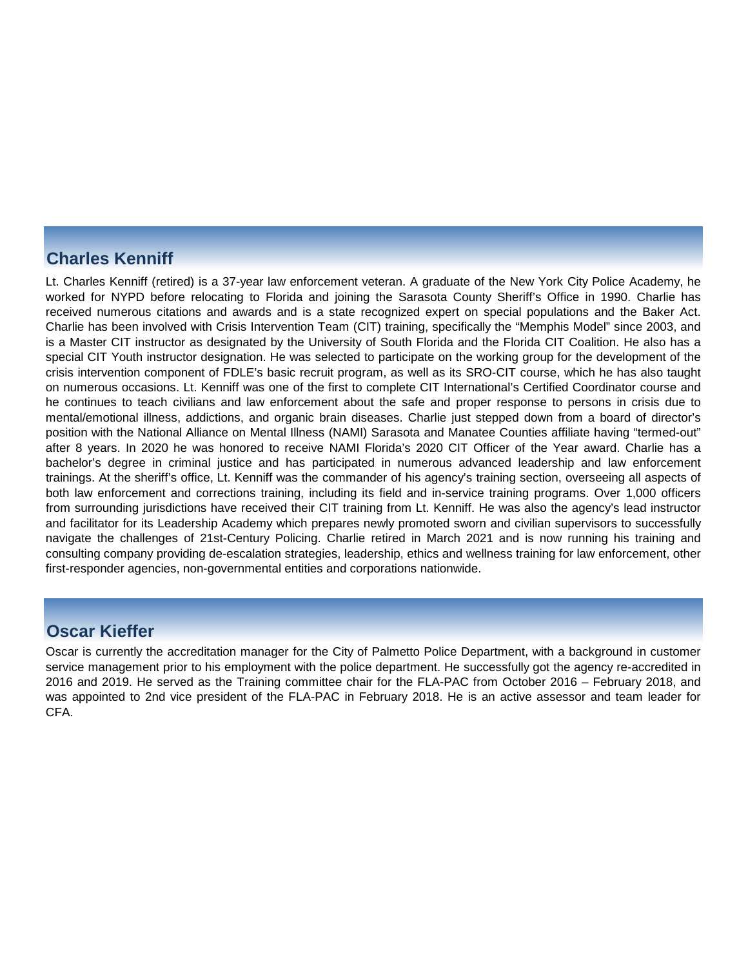## **Charles Kenniff**

Lt. Charles Kenniff (retired) is a 37-year law enforcement veteran. A graduate of the New York City Police Academy, he worked for NYPD before relocating to Florida and joining the Sarasota County Sheriff's Office in 1990. Charlie has received numerous citations and awards and is a state recognized expert on special populations and the Baker Act. Charlie has been involved with Crisis Intervention Team (CIT) training, specifically the "Memphis Model" since 2003, and is a Master CIT instructor as designated by the University of South Florida and the Florida CIT Coalition. He also has a special CIT Youth instructor designation. He was selected to participate on the working group for the development of the crisis intervention component of FDLE's basic recruit program, as well as its SRO-CIT course, which he has also taught on numerous occasions. Lt. Kenniff was one of the first to complete CIT International's Certified Coordinator course and he continues to teach civilians and law enforcement about the safe and proper response to persons in crisis due to mental/emotional illness, addictions, and organic brain diseases. Charlie just stepped down from a board of director's position with the National Alliance on Mental Illness (NAMI) Sarasota and Manatee Counties affiliate having "termed-out" after 8 years. In 2020 he was honored to receive NAMI Florida's 2020 CIT Officer of the Year award. Charlie has a bachelor's degree in criminal justice and has participated in numerous advanced leadership and law enforcement trainings. At the sheriff's office, Lt. Kenniff was the commander of his agency's training section, overseeing all aspects of both law enforcement and corrections training, including its field and in-service training programs. Over 1,000 officers from surrounding jurisdictions have received their CIT training from Lt. Kenniff. He was also the agency's lead instructor and facilitator for its Leadership Academy which prepares newly promoted sworn and civilian supervisors to successfully navigate the challenges of 21st-Century Policing. Charlie retired in March 2021 and is now running his training and consulting company providing de-escalation strategies, leadership, ethics and wellness training for law enforcement, other first-responder agencies, non-governmental entities and corporations nationwide.

## **Oscar Kieffer**

Oscar is currently the accreditation manager for the City of Palmetto Police Department, with a background in customer service management prior to his employment with the police department. He successfully got the agency re-accredited in 2016 and 2019. He served as the Training committee chair for the FLA-PAC from October 2016 – February 2018, and was appointed to 2nd vice president of the FLA-PAC in February 2018. He is an active assessor and team leader for CFA.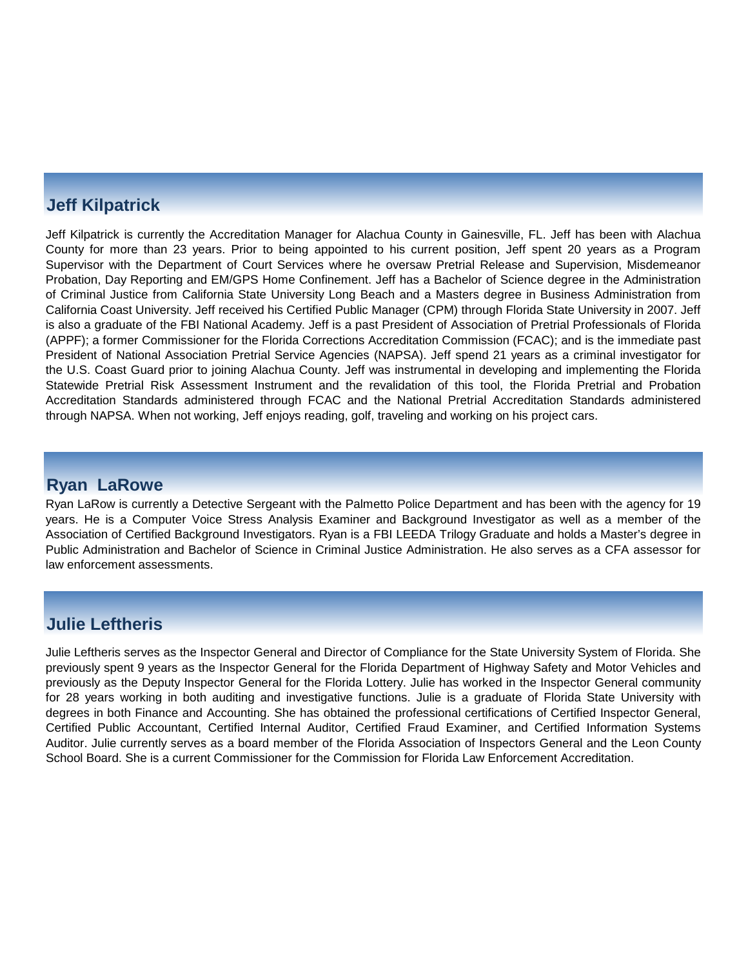# **Jeff Kilpatrick**

Jeff Kilpatrick is currently the Accreditation Manager for Alachua County in Gainesville, FL. Jeff has been with Alachua County for more than 23 years. Prior to being appointed to his current position, Jeff spent 20 years as a Program Supervisor with the Department of Court Services where he oversaw Pretrial Release and Supervision, Misdemeanor Probation, Day Reporting and EM/GPS Home Confinement. Jeff has a Bachelor of Science degree in the Administration of Criminal Justice from California State University Long Beach and a Masters degree in Business Administration from California Coast University. Jeff received his Certified Public Manager (CPM) through Florida State University in 2007. Jeff is also a graduate of the FBI National Academy. Jeff is a past President of Association of Pretrial Professionals of Florida (APPF); a former Commissioner for the Florida Corrections Accreditation Commission (FCAC); and is the immediate past President of National Association Pretrial Service Agencies (NAPSA). Jeff spend 21 years as a criminal investigator for the U.S. Coast Guard prior to joining Alachua County. Jeff was instrumental in developing and implementing the Florida Statewide Pretrial Risk Assessment Instrument and the revalidation of this tool, the Florida Pretrial and Probation Accreditation Standards administered through FCAC and the National Pretrial Accreditation Standards administered through NAPSA. When not working, Jeff enjoys reading, golf, traveling and working on his project cars.

## **Ryan LaRowe**

Ryan LaRow is currently a Detective Sergeant with the Palmetto Police Department and has been with the agency for 19 years. He is a Computer Voice Stress Analysis Examiner and Background Investigator as well as a member of the Association of Certified Background Investigators. Ryan is a FBI LEEDA Trilogy Graduate and holds a Master's degree in Public Administration and Bachelor of Science in Criminal Justice Administration. He also serves as a CFA assessor for law enforcement assessments.

# **Julie Leftheris**

Julie Leftheris serves as the Inspector General and Director of Compliance for the State University System of Florida. She previously spent 9 years as the Inspector General for the Florida Department of Highway Safety and Motor Vehicles and previously as the Deputy Inspector General for the Florida Lottery. Julie has worked in the Inspector General community for 28 years working in both auditing and investigative functions. Julie is a graduate of Florida State University with degrees in both Finance and Accounting. She has obtained the professional certifications of Certified Inspector General, Certified Public Accountant, Certified Internal Auditor, Certified Fraud Examiner, and Certified Information Systems Auditor. Julie currently serves as a board member of the Florida Association of Inspectors General and the Leon County School Board. She is a current Commissioner for the Commission for Florida Law Enforcement Accreditation.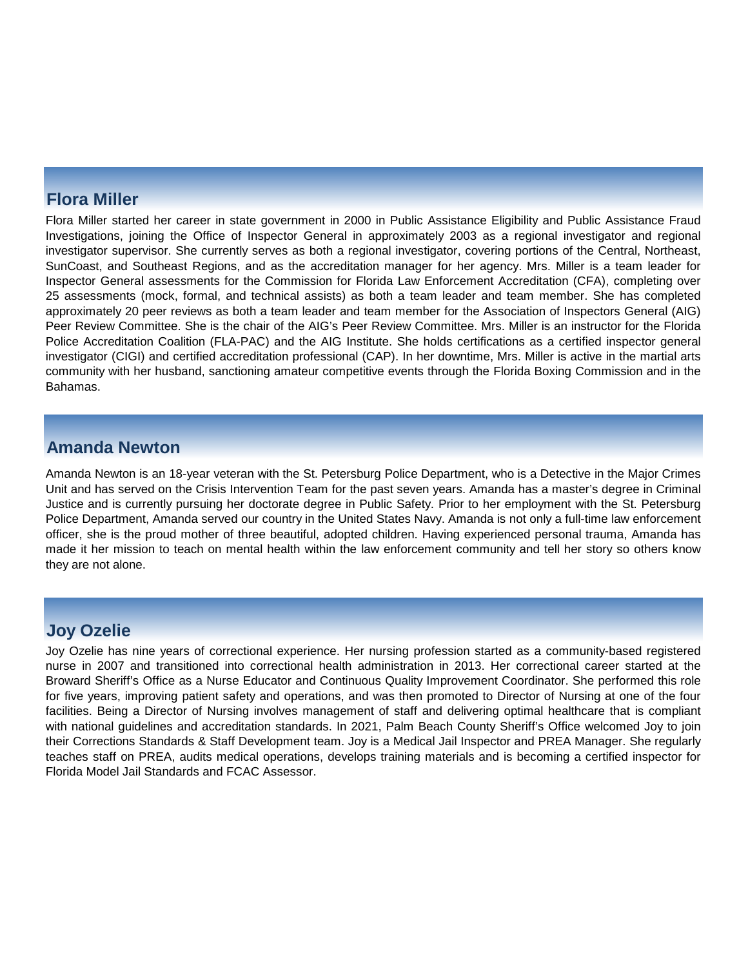## **Flora Miller**

Flora Miller started her career in state government in 2000 in Public Assistance Eligibility and Public Assistance Fraud Investigations, joining the Office of Inspector General in approximately 2003 as a regional investigator and regional investigator supervisor. She currently serves as both a regional investigator, covering portions of the Central, Northeast, SunCoast, and Southeast Regions, and as the accreditation manager for her agency. Mrs. Miller is a team leader for Inspector General assessments for the Commission for Florida Law Enforcement Accreditation (CFA), completing over 25 assessments (mock, formal, and technical assists) as both a team leader and team member. She has completed approximately 20 peer reviews as both a team leader and team member for the Association of Inspectors General (AIG) Peer Review Committee. She is the chair of the AIG's Peer Review Committee. Mrs. Miller is an instructor for the Florida Police Accreditation Coalition (FLA-PAC) and the AIG Institute. She holds certifications as a certified inspector general investigator (CIGI) and certified accreditation professional (CAP). In her downtime, Mrs. Miller is active in the martial arts community with her husband, sanctioning amateur competitive events through the Florida Boxing Commission and in the Bahamas.

## **Amanda Newton**

Amanda Newton is an 18-year veteran with the St. Petersburg Police Department, who is a Detective in the Major Crimes Unit and has served on the Crisis Intervention Team for the past seven years. Amanda has a master's degree in Criminal Justice and is currently pursuing her doctorate degree in Public Safety. Prior to her employment with the St. Petersburg Police Department, Amanda served our country in the United States Navy. Amanda is not only a full-time law enforcement officer, she is the proud mother of three beautiful, adopted children. Having experienced personal trauma, Amanda has made it her mission to teach on mental health within the law enforcement community and tell her story so others know they are not alone.

## **Joy Ozelie**

Joy Ozelie has nine years of correctional experience. Her nursing profession started as a community-based registered nurse in 2007 and transitioned into correctional health administration in 2013. Her correctional career started at the Broward Sheriff's Office as a Nurse Educator and Continuous Quality Improvement Coordinator. She performed this role for five years, improving patient safety and operations, and was then promoted to Director of Nursing at one of the four facilities. Being a Director of Nursing involves management of staff and delivering optimal healthcare that is compliant with national guidelines and accreditation standards. In 2021, Palm Beach County Sheriff's Office welcomed Joy to join their Corrections Standards & Staff Development team. Joy is a Medical Jail Inspector and PREA Manager. She regularly teaches staff on PREA, audits medical operations, develops training materials and is becoming a certified inspector for Florida Model Jail Standards and FCAC Assessor.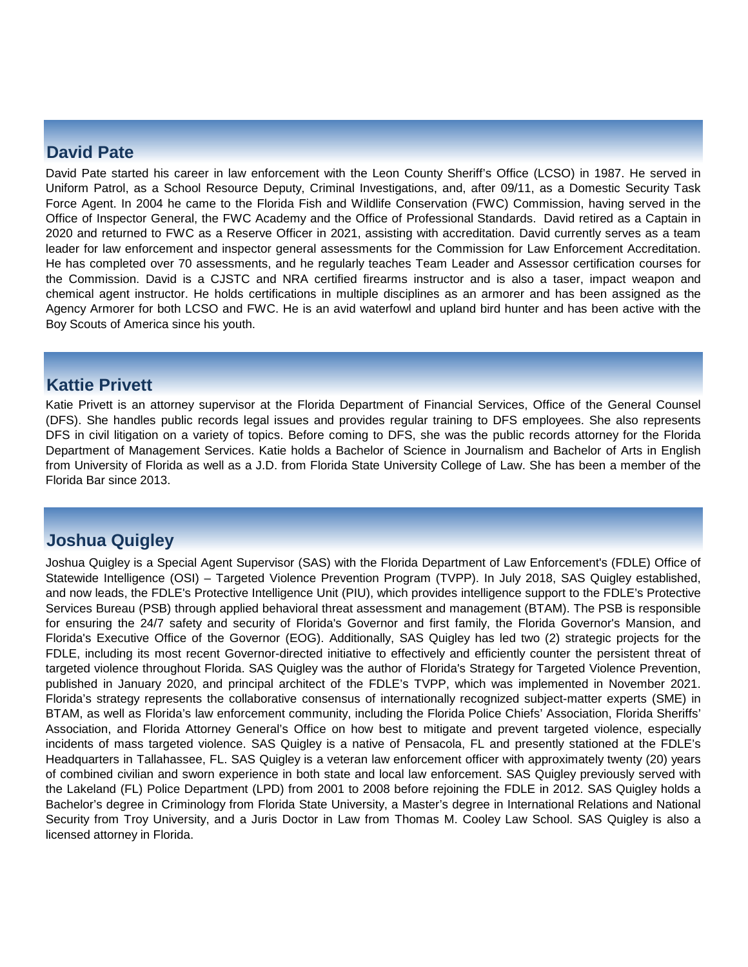## **David Pate**

David Pate started his career in law enforcement with the Leon County Sheriff's Office (LCSO) in 1987. He served in Uniform Patrol, as a School Resource Deputy, Criminal Investigations, and, after 09/11, as a Domestic Security Task Force Agent. In 2004 he came to the Florida Fish and Wildlife Conservation (FWC) Commission, having served in the Office of Inspector General, the FWC Academy and the Office of Professional Standards. David retired as a Captain in 2020 and returned to FWC as a Reserve Officer in 2021, assisting with accreditation. David currently serves as a team leader for law enforcement and inspector general assessments for the Commission for Law Enforcement Accreditation. He has completed over 70 assessments, and he regularly teaches Team Leader and Assessor certification courses for the Commission. David is a CJSTC and NRA certified firearms instructor and is also a taser, impact weapon and chemical agent instructor. He holds certifications in multiple disciplines as an armorer and has been assigned as the Agency Armorer for both LCSO and FWC. He is an avid waterfowl and upland bird hunter and has been active with the Boy Scouts of America since his youth.

## **Kattie Privett**

Katie Privett is an attorney supervisor at the Florida Department of Financial Services, Office of the General Counsel (DFS). She handles public records legal issues and provides regular training to DFS employees. She also represents DFS in civil litigation on a variety of topics. Before coming to DFS, she was the public records attorney for the Florida Department of Management Services. Katie holds a Bachelor of Science in Journalism and Bachelor of Arts in English from University of Florida as well as a J.D. from Florida State University College of Law. She has been a member of the Florida Bar since 2013.

# **Joshua Quigley**

Joshua Quigley is a Special Agent Supervisor (SAS) with the Florida Department of Law Enforcement's (FDLE) Office of Statewide Intelligence (OSI) – Targeted Violence Prevention Program (TVPP). In July 2018, SAS Quigley established, and now leads, the FDLE's Protective Intelligence Unit (PIU), which provides intelligence support to the FDLE's Protective Services Bureau (PSB) through applied behavioral threat assessment and management (BTAM). The PSB is responsible for ensuring the 24/7 safety and security of Florida's Governor and first family, the Florida Governor's Mansion, and Florida's Executive Office of the Governor (EOG). Additionally, SAS Quigley has led two (2) strategic projects for the FDLE, including its most recent Governor-directed initiative to effectively and efficiently counter the persistent threat of targeted violence throughout Florida. SAS Quigley was the author of Florida's Strategy for Targeted Violence Prevention, published in January 2020, and principal architect of the FDLE's TVPP, which was implemented in November 2021. Florida's strategy represents the collaborative consensus of internationally recognized subject-matter experts (SME) in BTAM, as well as Florida's law enforcement community, including the Florida Police Chiefs' Association, Florida Sheriffs' Association, and Florida Attorney General's Office on how best to mitigate and prevent targeted violence, especially incidents of mass targeted violence. SAS Quigley is a native of Pensacola, FL and presently stationed at the FDLE's Headquarters in Tallahassee, FL. SAS Quigley is a veteran law enforcement officer with approximately twenty (20) years of combined civilian and sworn experience in both state and local law enforcement. SAS Quigley previously served with the Lakeland (FL) Police Department (LPD) from 2001 to 2008 before rejoining the FDLE in 2012. SAS Quigley holds a Bachelor's degree in Criminology from Florida State University, a Master's degree in International Relations and National Security from Troy University, and a Juris Doctor in Law from Thomas M. Cooley Law School. SAS Quigley is also a licensed attorney in Florida.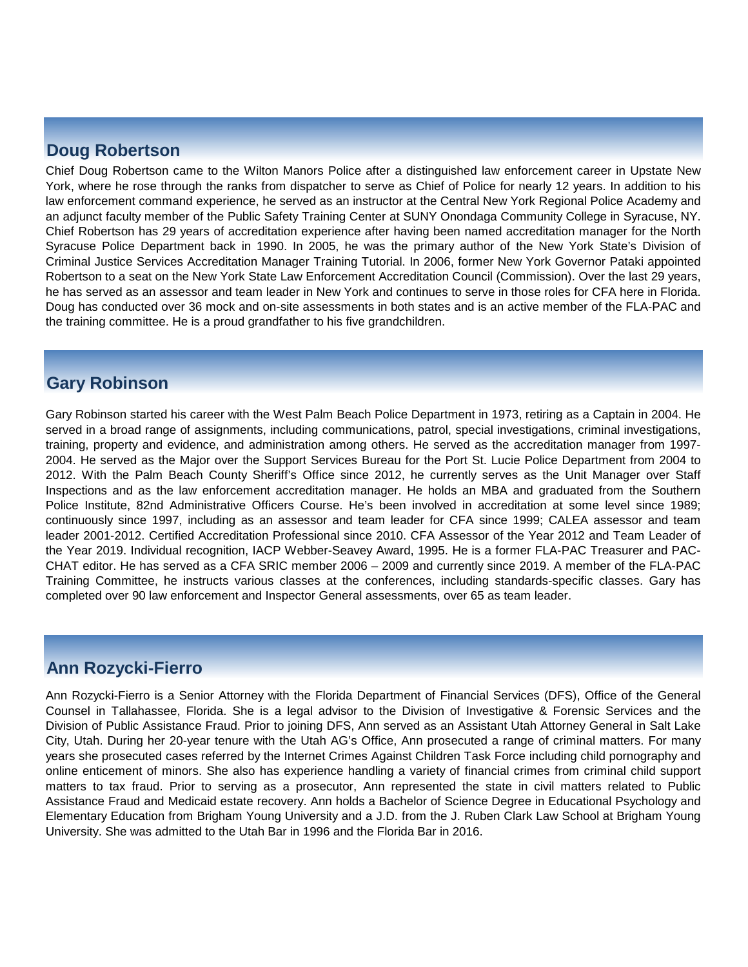# **Doug Robertson**

Chief Doug Robertson came to the Wilton Manors Police after a distinguished law enforcement career in Upstate New York, where he rose through the ranks from dispatcher to serve as Chief of Police for nearly 12 years. In addition to his law enforcement command experience, he served as an instructor at the Central New York Regional Police Academy and an adjunct faculty member of the Public Safety Training Center at SUNY Onondaga Community College in Syracuse, NY. Chief Robertson has 29 years of accreditation experience after having been named accreditation manager for the North Syracuse Police Department back in 1990. In 2005, he was the primary author of the New York State's Division of Criminal Justice Services Accreditation Manager Training Tutorial. In 2006, former New York Governor Pataki appointed Robertson to a seat on the New York State Law Enforcement Accreditation Council (Commission). Over the last 29 years, he has served as an assessor and team leader in New York and continues to serve in those roles for CFA here in Florida. Doug has conducted over 36 mock and on-site assessments in both states and is an active member of the FLA-PAC and the training committee. He is a proud grandfather to his five grandchildren.

## **Gary Robinson**

Gary Robinson started his career with the West Palm Beach Police Department in 1973, retiring as a Captain in 2004. He served in a broad range of assignments, including communications, patrol, special investigations, criminal investigations, training, property and evidence, and administration among others. He served as the accreditation manager from 1997- 2004. He served as the Major over the Support Services Bureau for the Port St. Lucie Police Department from 2004 to 2012. With the Palm Beach County Sheriff's Office since 2012, he currently serves as the Unit Manager over Staff Inspections and as the law enforcement accreditation manager. He holds an MBA and graduated from the Southern Police Institute, 82nd Administrative Officers Course. He's been involved in accreditation at some level since 1989; continuously since 1997, including as an assessor and team leader for CFA since 1999; CALEA assessor and team leader 2001-2012. Certified Accreditation Professional since 2010. CFA Assessor of the Year 2012 and Team Leader of the Year 2019. Individual recognition, IACP Webber-Seavey Award, 1995. He is a former FLA-PAC Treasurer and PAC-CHAT editor. He has served as a CFA SRIC member 2006 – 2009 and currently since 2019. A member of the FLA-PAC Training Committee, he instructs various classes at the conferences, including standards-specific classes. Gary has completed over 90 law enforcement and Inspector General assessments, over 65 as team leader.

## **Ann Rozycki-Fierro**

Ann Rozycki-Fierro is a Senior Attorney with the Florida Department of Financial Services (DFS), Office of the General Counsel in Tallahassee, Florida. She is a legal advisor to the Division of Investigative & Forensic Services and the Division of Public Assistance Fraud. Prior to joining DFS, Ann served as an Assistant Utah Attorney General in Salt Lake City, Utah. During her 20-year tenure with the Utah AG's Office, Ann prosecuted a range of criminal matters. For many years she prosecuted cases referred by the Internet Crimes Against Children Task Force including child pornography and online enticement of minors. She also has experience handling a variety of financial crimes from criminal child support matters to tax fraud. Prior to serving as a prosecutor, Ann represented the state in civil matters related to Public Assistance Fraud and Medicaid estate recovery. Ann holds a Bachelor of Science Degree in Educational Psychology and Elementary Education from Brigham Young University and a J.D. from the J. Ruben Clark Law School at Brigham Young University. She was admitted to the Utah Bar in 1996 and the Florida Bar in 2016.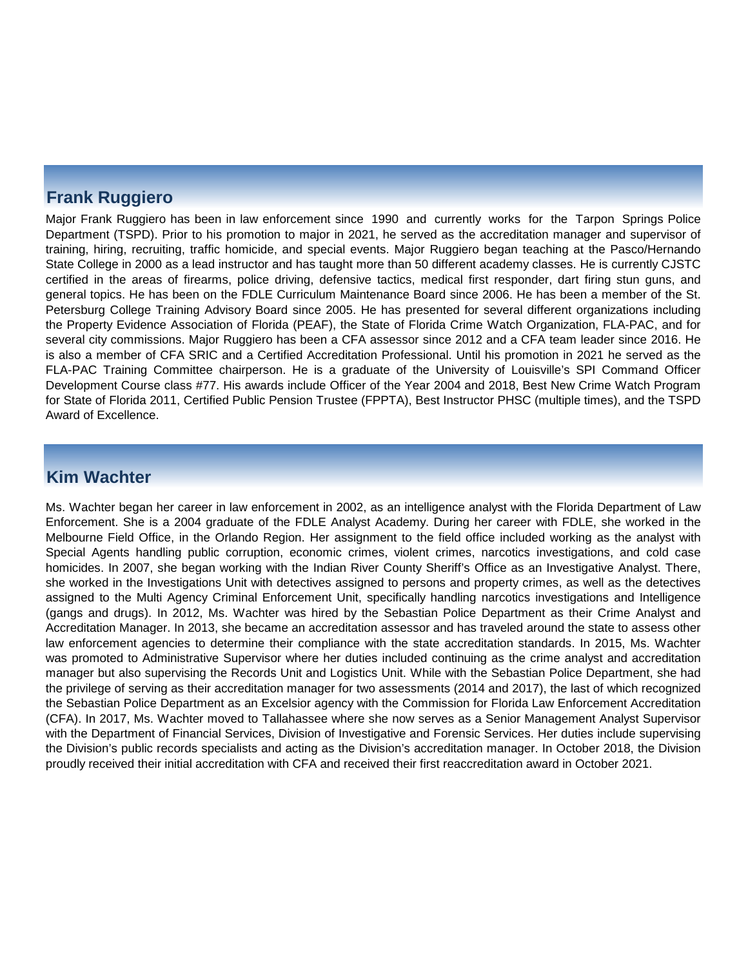## **Frank Ruggiero**

Major Frank Ruggiero has been in law enforcement since 1990 and currently works for the Tarpon Springs Police Department (TSPD). Prior to his promotion to major in 2021, he served as the accreditation manager and supervisor of training, hiring, recruiting, traffic homicide, and special events. Major Ruggiero began teaching at the Pasco/Hernando State College in 2000 as a lead instructor and has taught more than 50 different academy classes. He is currently CJSTC certified in the areas of firearms, police driving, defensive tactics, medical first responder, dart firing stun guns, and general topics. He has been on the FDLE Curriculum Maintenance Board since 2006. He has been a member of the St. Petersburg College Training Advisory Board since 2005. He has presented for several different organizations including the Property Evidence Association of Florida (PEAF), the State of Florida Crime Watch Organization, FLA-PAC, and for several city commissions. Major Ruggiero has been a CFA assessor since 2012 and a CFA team leader since 2016. He is also a member of CFA SRIC and a Certified Accreditation Professional. Until his promotion in 2021 he served as the FLA-PAC Training Committee chairperson. He is a graduate of the University of Louisville's SPI Command Officer Development Course class #77. His awards include Officer of the Year 2004 and 2018, Best New Crime Watch Program for State of Florida 2011, Certified Public Pension Trustee (FPPTA), Best Instructor PHSC (multiple times), and the TSPD Award of Excellence.

## **Kim Wachter**

Ms. Wachter began her career in law enforcement in 2002, as an intelligence analyst with the Florida Department of Law Enforcement. She is a 2004 graduate of the FDLE Analyst Academy. During her career with FDLE, she worked in the Melbourne Field Office, in the Orlando Region. Her assignment to the field office included working as the analyst with Special Agents handling public corruption, economic crimes, violent crimes, narcotics investigations, and cold case homicides. In 2007, she began working with the Indian River County Sheriff's Office as an Investigative Analyst. There, she worked in the Investigations Unit with detectives assigned to persons and property crimes, as well as the detectives assigned to the Multi Agency Criminal Enforcement Unit, specifically handling narcotics investigations and Intelligence (gangs and drugs). In 2012, Ms. Wachter was hired by the Sebastian Police Department as their Crime Analyst and Accreditation Manager. In 2013, she became an accreditation assessor and has traveled around the state to assess other law enforcement agencies to determine their compliance with the state accreditation standards. In 2015, Ms. Wachter was promoted to Administrative Supervisor where her duties included continuing as the crime analyst and accreditation manager but also supervising the Records Unit and Logistics Unit. While with the Sebastian Police Department, she had the privilege of serving as their accreditation manager for two assessments (2014 and 2017), the last of which recognized the Sebastian Police Department as an Excelsior agency with the Commission for Florida Law Enforcement Accreditation (CFA). In 2017, Ms. Wachter moved to Tallahassee where she now serves as a Senior Management Analyst Supervisor with the Department of Financial Services, Division of Investigative and Forensic Services. Her duties include supervising the Division's public records specialists and acting as the Division's accreditation manager. In October 2018, the Division proudly received their initial accreditation with CFA and received their first reaccreditation award in October 2021.